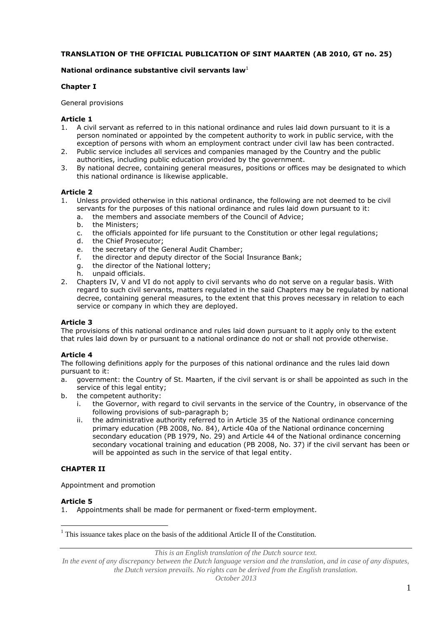### **TRANSLATION OF THE OFFICIAL PUBLICATION OF SINT MAARTEN (AB 2010, GT no. 25)**

### **National ordinance substantive civil servants law**<sup>1</sup>

### **Chapter I**

#### General provisions

#### **Article 1**

- 1. A civil servant as referred to in this national ordinance and rules laid down pursuant to it is a person nominated or appointed by the competent authority to work in public service, with the exception of persons with whom an employment contract under civil law has been contracted.
- 2. Public service includes all services and companies managed by the Country and the public authorities, including public education provided by the government.
- 3. By national decree, containing general measures, positions or offices may be designated to which this national ordinance is likewise applicable.

### **Article 2**

- 1. Unless provided otherwise in this national ordinance, the following are not deemed to be civil servants for the purposes of this national ordinance and rules laid down pursuant to it:
	- a. the members and associate members of the Council of Advice;
	- the Ministers;
	- c. the officials appointed for life pursuant to the Constitution or other legal regulations;
	- d. the Chief Prosecutor;<br>e. the secretary of the G
	- the secretary of the General Audit Chamber;
	- f. the director and deputy director of the Social Insurance Bank;
	- g. the director of the National lottery;
	- h. unpaid officials.
- 2. Chapters IV, V and VI do not apply to civil servants who do not serve on a regular basis. With regard to such civil servants, matters regulated in the said Chapters may be regulated by national decree, containing general measures, to the extent that this proves necessary in relation to each service or company in which they are deployed.

## **Article 3**

The provisions of this national ordinance and rules laid down pursuant to it apply only to the extent that rules laid down by or pursuant to a national ordinance do not or shall not provide otherwise.

#### **Article 4**

The following definitions apply for the purposes of this national ordinance and the rules laid down pursuant to it:

- a. government: the Country of St. Maarten, if the civil servant is or shall be appointed as such in the service of this legal entity;
- b. the competent authority:
	- i. the Governor, with regard to civil servants in the service of the Country, in observance of the following provisions of sub-paragraph b;
	- ii. the administrative authority referred to in Article 35 of the National ordinance concerning primary education (PB 2008, No. 84), Article 40a of the National ordinance concerning secondary education (PB 1979, No. 29) and Article 44 of the National ordinance concerning secondary vocational training and education (PB 2008, No. 37) if the civil servant has been or will be appointed as such in the service of that legal entity.

## **CHAPTER II**

Appointment and promotion

#### **Article 5**

 $\overline{a}$ 

1. Appointments shall be made for permanent or fixed-term employment.

*This is an English translation of the Dutch source text.*

 $<sup>1</sup>$  This issuance takes place on the basis of the additional Article II of the Constitution.</sup>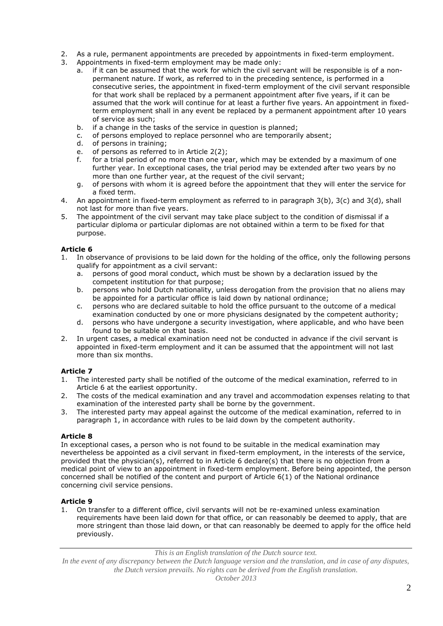- 2. As a rule, permanent appointments are preceded by appointments in fixed-term employment.
- 3. Appointments in fixed-term employment may be made only:
	- a. if it can be assumed that the work for which the civil servant will be responsible is of a nonpermanent nature. If work, as referred to in the preceding sentence, is performed in a consecutive series, the appointment in fixed-term employment of the civil servant responsible for that work shall be replaced by a permanent appointment after five years, if it can be assumed that the work will continue for at least a further five years. An appointment in fixedterm employment shall in any event be replaced by a permanent appointment after 10 years of service as such;
	- b. if a change in the tasks of the service in question is planned;
	- c. of persons employed to replace personnel who are temporarily absent;
	- d. of persons in training;
	- e. of persons as referred to in Article 2(2);
	- f. for a trial period of no more than one year, which may be extended by a maximum of one further year. In exceptional cases, the trial period may be extended after two years by no more than one further year, at the request of the civil servant;
	- g. of persons with whom it is agreed before the appointment that they will enter the service for a fixed term.
- 4. An appointment in fixed-term employment as referred to in paragraph 3(b), 3(c) and 3(d), shall not last for more than five years.
- 5. The appointment of the civil servant may take place subject to the condition of dismissal if a particular diploma or particular diplomas are not obtained within a term to be fixed for that purpose.

- 1. In observance of provisions to be laid down for the holding of the office, only the following persons qualify for appointment as a civil servant:
	- a. persons of good moral conduct, which must be shown by a declaration issued by the competent institution for that purpose;
	- b. persons who hold Dutch nationality, unless derogation from the provision that no aliens may be appointed for a particular office is laid down by national ordinance;
	- c. persons who are declared suitable to hold the office pursuant to the outcome of a medical examination conducted by one or more physicians designated by the competent authority;
	- d. persons who have undergone a security investigation, where applicable, and who have been found to be suitable on that basis.
- 2. In urgent cases, a medical examination need not be conducted in advance if the civil servant is appointed in fixed-term employment and it can be assumed that the appointment will not last more than six months.

# **Article 7**

- 1. The interested party shall be notified of the outcome of the medical examination, referred to in Article 6 at the earliest opportunity.
- 2. The costs of the medical examination and any travel and accommodation expenses relating to that examination of the interested party shall be borne by the government.
- 3. The interested party may appeal against the outcome of the medical examination, referred to in paragraph 1, in accordance with rules to be laid down by the competent authority.

## **Article 8**

In exceptional cases, a person who is not found to be suitable in the medical examination may nevertheless be appointed as a civil servant in fixed-term employment, in the interests of the service, provided that the physician(s), referred to in Article 6 declare(s) that there is no objection from a medical point of view to an appointment in fixed-term employment. Before being appointed, the person concerned shall be notified of the content and purport of Article 6(1) of the National ordinance concerning civil service pensions.

## **Article 9**

1. On transfer to a different office, civil servants will not be re-examined unless examination requirements have been laid down for that office, or can reasonably be deemed to apply, that are more stringent than those laid down, or that can reasonably be deemed to apply for the office held previously.

*This is an English translation of the Dutch source text.*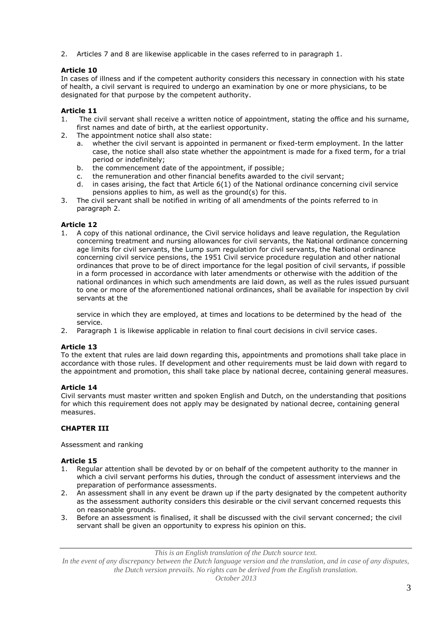2. Articles 7 and 8 are likewise applicable in the cases referred to in paragraph 1.

# **Article 10**

In cases of illness and if the competent authority considers this necessary in connection with his state of health, a civil servant is required to undergo an examination by one or more physicians, to be designated for that purpose by the competent authority.

# **Article 11**

- 1. The civil servant shall receive a written notice of appointment, stating the office and his surname, first names and date of birth, at the earliest opportunity.
- 2. The appointment notice shall also state:
	- a. whether the civil servant is appointed in permanent or fixed-term employment. In the latter case, the notice shall also state whether the appointment is made for a fixed term, for a trial period or indefinitely;
	- b. the commencement date of the appointment, if possible;
	- c. the remuneration and other financial benefits awarded to the civil servant;
	- in cases arising, the fact that Article  $6(1)$  of the National ordinance concerning civil service pensions applies to him, as well as the ground(s) for this.
- 3. The civil servant shall be notified in writing of all amendments of the points referred to in paragraph 2.

## **Article 12**

1. A copy of this national ordinance, the Civil service holidays and leave regulation, the Regulation concerning treatment and nursing allowances for civil servants, the National ordinance concerning age limits for civil servants, the Lump sum regulation for civil servants, the National ordinance concerning civil service pensions, the 1951 Civil service procedure regulation and other national ordinances that prove to be of direct importance for the legal position of civil servants, if possible in a form processed in accordance with later amendments or otherwise with the addition of the national ordinances in which such amendments are laid down, as well as the rules issued pursuant to one or more of the aforementioned national ordinances, shall be available for inspection by civil servants at the

service in which they are employed, at times and locations to be determined by the head of the service.

2. Paragraph 1 is likewise applicable in relation to final court decisions in civil service cases.

## **Article 13**

To the extent that rules are laid down regarding this, appointments and promotions shall take place in accordance with those rules. If development and other requirements must be laid down with regard to the appointment and promotion, this shall take place by national decree, containing general measures.

## **Article 14**

Civil servants must master written and spoken English and Dutch, on the understanding that positions for which this requirement does not apply may be designated by national decree, containing general measures.

# **CHAPTER III**

Assessment and ranking

## **Article 15**

- 1. Regular attention shall be devoted by or on behalf of the competent authority to the manner in which a civil servant performs his duties, through the conduct of assessment interviews and the preparation of performance assessments.
- 2. An assessment shall in any event be drawn up if the party designated by the competent authority as the assessment authority considers this desirable or the civil servant concerned requests this on reasonable grounds.
- 3. Before an assessment is finalised, it shall be discussed with the civil servant concerned; the civil servant shall be given an opportunity to express his opinion on this.

*This is an English translation of the Dutch source text.*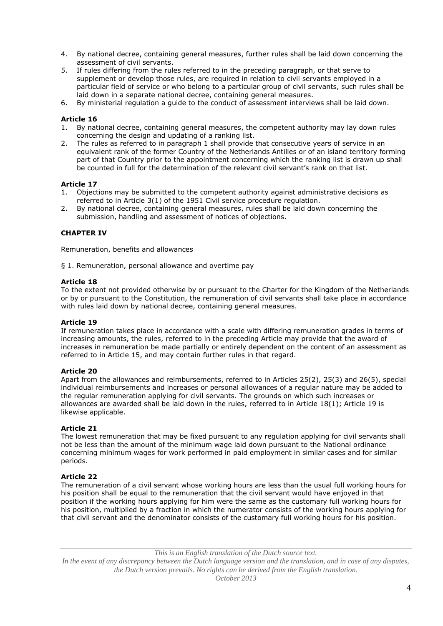- 4. By national decree, containing general measures, further rules shall be laid down concerning the assessment of civil servants.
- 5. If rules differing from the rules referred to in the preceding paragraph, or that serve to supplement or develop those rules, are required in relation to civil servants employed in a particular field of service or who belong to a particular group of civil servants, such rules shall be laid down in a separate national decree, containing general measures.
- 6. By ministerial regulation a guide to the conduct of assessment interviews shall be laid down.

- 1. By national decree, containing general measures, the competent authority may lay down rules concerning the design and updating of a ranking list.
- 2. The rules as referred to in paragraph 1 shall provide that consecutive years of service in an equivalent rank of the former Country of the Netherlands Antilles or of an island territory forming part of that Country prior to the appointment concerning which the ranking list is drawn up shall be counted in full for the determination of the relevant civil servant's rank on that list.

#### **Article 17**

- 1. Objections may be submitted to the competent authority against administrative decisions as referred to in Article 3(1) of the 1951 Civil service procedure regulation.
- 2. By national decree, containing general measures, rules shall be laid down concerning the submission, handling and assessment of notices of objections.

### **CHAPTER IV**

Remuneration, benefits and allowances

§ 1. Remuneration, personal allowance and overtime pay

#### **Article 18**

To the extent not provided otherwise by or pursuant to the Charter for the Kingdom of the Netherlands or by or pursuant to the Constitution, the remuneration of civil servants shall take place in accordance with rules laid down by national decree, containing general measures.

#### **Article 19**

If remuneration takes place in accordance with a scale with differing remuneration grades in terms of increasing amounts, the rules, referred to in the preceding Article may provide that the award of increases in remuneration be made partially or entirely dependent on the content of an assessment as referred to in Article 15, and may contain further rules in that regard.

#### **Article 20**

Apart from the allowances and reimbursements, referred to in Articles 25(2), 25(3) and 26(5), special individual reimbursements and increases or personal allowances of a regular nature may be added to the regular remuneration applying for civil servants. The grounds on which such increases or allowances are awarded shall be laid down in the rules, referred to in Article 18(1); Article 19 is likewise applicable.

#### **Article 21**

The lowest remuneration that may be fixed pursuant to any regulation applying for civil servants shall not be less than the amount of the minimum wage laid down pursuant to the National ordinance concerning minimum wages for work performed in paid employment in similar cases and for similar periods.

#### **Article 22**

The remuneration of a civil servant whose working hours are less than the usual full working hours for his position shall be equal to the remuneration that the civil servant would have enjoyed in that position if the working hours applying for him were the same as the customary full working hours for his position, multiplied by a fraction in which the numerator consists of the working hours applying for that civil servant and the denominator consists of the customary full working hours for his position.

*This is an English translation of the Dutch source text.*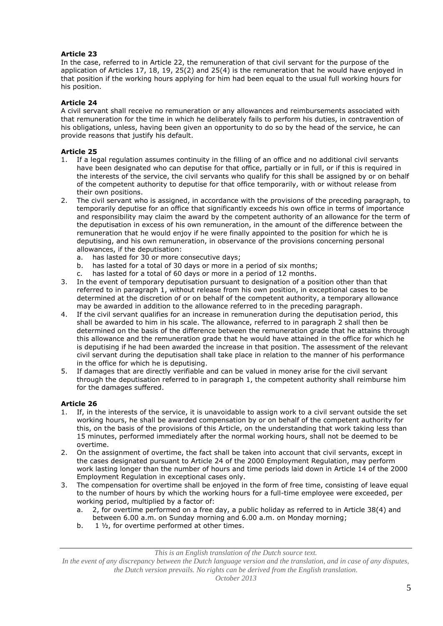In the case, referred to in Article 22, the remuneration of that civil servant for the purpose of the application of Articles 17, 18, 19, 25(2) and 25(4) is the remuneration that he would have enjoyed in that position if the working hours applying for him had been equal to the usual full working hours for his position.

# **Article 24**

A civil servant shall receive no remuneration or any allowances and reimbursements associated with that remuneration for the time in which he deliberately fails to perform his duties, in contravention of his obligations, unless, having been given an opportunity to do so by the head of the service, he can provide reasons that justify his default.

# **Article 25**

- 1. If a legal regulation assumes continuity in the filling of an office and no additional civil servants have been designated who can deputise for that office, partially or in full, or if this is required in the interests of the service, the civil servants who qualify for this shall be assigned by or on behalf of the competent authority to deputise for that office temporarily, with or without release from their own positions.
- 2. The civil servant who is assigned, in accordance with the provisions of the preceding paragraph, to temporarily deputise for an office that significantly exceeds his own office in terms of importance and responsibility may claim the award by the competent authority of an allowance for the term of the deputisation in excess of his own remuneration, in the amount of the difference between the remuneration that he would enjoy if he were finally appointed to the position for which he is deputising, and his own remuneration, in observance of the provisions concerning personal allowances, if the deputisation:
	- a. has lasted for 30 or more consecutive days;
	- b. has lasted for a total of 30 days or more in a period of six months;
	- c. has lasted for a total of 60 days or more in a period of 12 months.
- 3. In the event of temporary deputisation pursuant to designation of a position other than that referred to in paragraph 1, without release from his own position, in exceptional cases to be determined at the discretion of or on behalf of the competent authority, a temporary allowance may be awarded in addition to the allowance referred to in the preceding paragraph.
- 4. If the civil servant qualifies for an increase in remuneration during the deputisation period, this shall be awarded to him in his scale. The allowance, referred to in paragraph 2 shall then be determined on the basis of the difference between the remuneration grade that he attains through this allowance and the remuneration grade that he would have attained in the office for which he is deputising if he had been awarded the increase in that position. The assessment of the relevant civil servant during the deputisation shall take place in relation to the manner of his performance in the office for which he is deputising.
- 5. If damages that are directly verifiable and can be valued in money arise for the civil servant through the deputisation referred to in paragraph 1, the competent authority shall reimburse him for the damages suffered.

# **Article 26**

- 1. If, in the interests of the service, it is unavoidable to assign work to a civil servant outside the set working hours, he shall be awarded compensation by or on behalf of the competent authority for this, on the basis of the provisions of this Article, on the understanding that work taking less than 15 minutes, performed immediately after the normal working hours, shall not be deemed to be overtime.
- 2. On the assignment of overtime, the fact shall be taken into account that civil servants, except in the cases designated pursuant to Article 24 of the 2000 Employment Regulation, may perform work lasting longer than the number of hours and time periods laid down in Article 14 of the 2000 Employment Regulation in exceptional cases only.
- 3. The compensation for overtime shall be enjoyed in the form of free time, consisting of leave equal to the number of hours by which the working hours for a full-time employee were exceeded, per working period, multiplied by a factor of:
	- a. 2, for overtime performed on a free day, a public holiday as referred to in Article 38(4) and between 6.00 a.m. on Sunday morning and 6.00 a.m. on Monday morning;
	- b. 1 ½, for overtime performed at other times.

*This is an English translation of the Dutch source text.*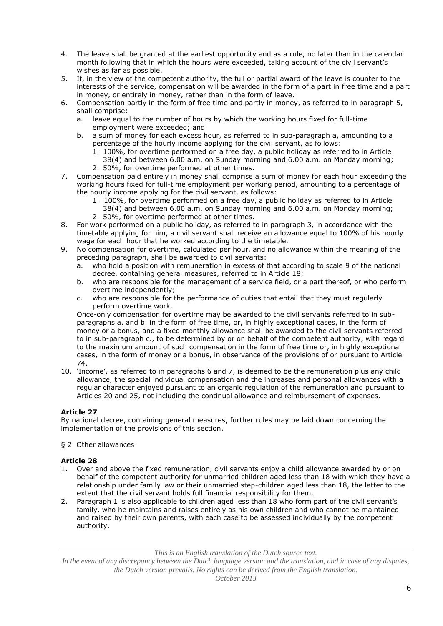- 4. The leave shall be granted at the earliest opportunity and as a rule, no later than in the calendar month following that in which the hours were exceeded, taking account of the civil servant's wishes as far as possible.
- 5. If, in the view of the competent authority, the full or partial award of the leave is counter to the interests of the service, compensation will be awarded in the form of a part in free time and a part in money, or entirely in money, rather than in the form of leave.
- 6. Compensation partly in the form of free time and partly in money, as referred to in paragraph 5, shall comprise:
	- a. leave equal to the number of hours by which the working hours fixed for full-time employment were exceeded; and
	- b. a sum of money for each excess hour, as referred to in sub-paragraph a, amounting to a percentage of the hourly income applying for the civil servant, as follows:
		- 1. 100%, for overtime performed on a free day, a public holiday as referred to in Article
		- 38(4) and between 6.00 a.m. on Sunday morning and 6.00 a.m. on Monday morning; 2. 50%, for overtime performed at other times.
- 7. Compensation paid entirely in money shall comprise a sum of money for each hour exceeding the working hours fixed for full-time employment per working period, amounting to a percentage of the hourly income applying for the civil servant, as follows:
	- 1. 100%, for overtime performed on a free day, a public holiday as referred to in Article
	- 38(4) and between 6.00 a.m. on Sunday morning and 6.00 a.m. on Monday morning;
	- 2. 50%, for overtime performed at other times.
- 8. For work performed on a public holiday, as referred to in paragraph 3, in accordance with the timetable applying for him, a civil servant shall receive an allowance equal to 100% of his hourly wage for each hour that he worked according to the timetable.
- 9. No compensation for overtime, calculated per hour, and no allowance within the meaning of the preceding paragraph, shall be awarded to civil servants:
	- a. who hold a position with remuneration in excess of that according to scale 9 of the national decree, containing general measures, referred to in Article 18;
	- b. who are responsible for the management of a service field, or a part thereof, or who perform overtime independently;
	- c. who are responsible for the performance of duties that entail that they must regularly perform overtime work.

Once-only compensation for overtime may be awarded to the civil servants referred to in subparagraphs a. and b. in the form of free time, or, in highly exceptional cases, in the form of money or a bonus, and a fixed monthly allowance shall be awarded to the civil servants referred to in sub-paragraph c., to be determined by or on behalf of the competent authority, with regard to the maximum amount of such compensation in the form of free time or, in highly exceptional cases, in the form of money or a bonus, in observance of the provisions of or pursuant to Article 74.

10. 'Income', as referred to in paragraphs 6 and 7, is deemed to be the remuneration plus any child allowance, the special individual compensation and the increases and personal allowances with a regular character enjoyed pursuant to an organic regulation of the remuneration and pursuant to Articles 20 and 25, not including the continual allowance and reimbursement of expenses.

# **Article 27**

By national decree, containing general measures, further rules may be laid down concerning the implementation of the provisions of this section.

## § 2. Other allowances

## **Article 28**

- 1. Over and above the fixed remuneration, civil servants enjoy a child allowance awarded by or on behalf of the competent authority for unmarried children aged less than 18 with which they have a relationship under family law or their unmarried step-children aged less than 18, the latter to the extent that the civil servant holds full financial responsibility for them.
- 2. Paragraph 1 is also applicable to children aged less than 18 who form part of the civil servant's family, who he maintains and raises entirely as his own children and who cannot be maintained and raised by their own parents, with each case to be assessed individually by the competent authority.

*This is an English translation of the Dutch source text.*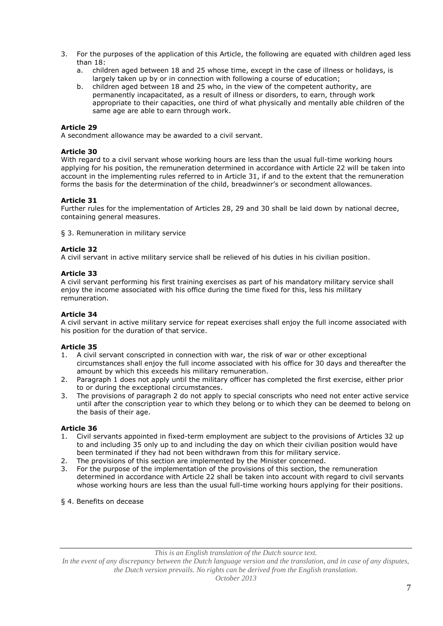- 3. For the purposes of the application of this Article, the following are equated with children aged less than 18:
	- a. children aged between 18 and 25 whose time, except in the case of illness or holidays, is largely taken up by or in connection with following a course of education;
	- b. children aged between 18 and 25 who, in the view of the competent authority, are permanently incapacitated, as a result of illness or disorders, to earn, through work appropriate to their capacities, one third of what physically and mentally able children of the same age are able to earn through work.

A secondment allowance may be awarded to a civil servant.

#### **Article 30**

With regard to a civil servant whose working hours are less than the usual full-time working hours applying for his position, the remuneration determined in accordance with Article 22 will be taken into account in the implementing rules referred to in Article 31, if and to the extent that the remuneration forms the basis for the determination of the child, breadwinner's or secondment allowances.

### **Article 31**

Further rules for the implementation of Articles 28, 29 and 30 shall be laid down by national decree, containing general measures.

§ 3. Remuneration in military service

#### **Article 32**

A civil servant in active military service shall be relieved of his duties in his civilian position.

#### **Article 33**

A civil servant performing his first training exercises as part of his mandatory military service shall enjoy the income associated with his office during the time fixed for this, less his military remuneration.

#### **Article 34**

A civil servant in active military service for repeat exercises shall enjoy the full income associated with his position for the duration of that service.

#### **Article 35**

- 1. A civil servant conscripted in connection with war, the risk of war or other exceptional circumstances shall enjoy the full income associated with his office for 30 days and thereafter the amount by which this exceeds his military remuneration.
- 2. Paragraph 1 does not apply until the military officer has completed the first exercise, either prior to or during the exceptional circumstances.
- 3. The provisions of paragraph 2 do not apply to special conscripts who need not enter active service until after the conscription year to which they belong or to which they can be deemed to belong on the basis of their age.

### **Article 36**

- 1. Civil servants appointed in fixed-term employment are subject to the provisions of Articles 32 up to and including 35 only up to and including the day on which their civilian position would have been terminated if they had not been withdrawn from this for military service.
- 2. The provisions of this section are implemented by the Minister concerned.
- 3. For the purpose of the implementation of the provisions of this section, the remuneration determined in accordance with Article 22 shall be taken into account with regard to civil servants whose working hours are less than the usual full-time working hours applying for their positions.
- § 4. Benefits on decease

*This is an English translation of the Dutch source text.*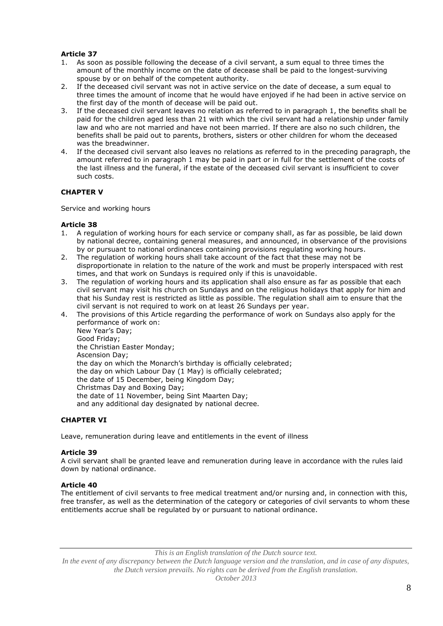- 1. As soon as possible following the decease of a civil servant, a sum equal to three times the amount of the monthly income on the date of decease shall be paid to the longest-surviving spouse by or on behalf of the competent authority.
- 2. If the deceased civil servant was not in active service on the date of decease, a sum equal to three times the amount of income that he would have enjoyed if he had been in active service on the first day of the month of decease will be paid out.
- 3. If the deceased civil servant leaves no relation as referred to in paragraph 1, the benefits shall be paid for the children aged less than 21 with which the civil servant had a relationship under family law and who are not married and have not been married. If there are also no such children, the benefits shall be paid out to parents, brothers, sisters or other children for whom the deceased was the breadwinner.
- 4. If the deceased civil servant also leaves no relations as referred to in the preceding paragraph, the amount referred to in paragraph 1 may be paid in part or in full for the settlement of the costs of the last illness and the funeral, if the estate of the deceased civil servant is insufficient to cover such costs.

# **CHAPTER V**

Service and working hours

## **Article 38**

- 1. A regulation of working hours for each service or company shall, as far as possible, be laid down by national decree, containing general measures, and announced, in observance of the provisions by or pursuant to national ordinances containing provisions regulating working hours.
- 2. The regulation of working hours shall take account of the fact that these may not be disproportionate in relation to the nature of the work and must be properly interspaced with rest times, and that work on Sundays is required only if this is unavoidable.
- 3. The regulation of working hours and its application shall also ensure as far as possible that each civil servant may visit his church on Sundays and on the religious holidays that apply for him and that his Sunday rest is restricted as little as possible. The regulation shall aim to ensure that the civil servant is not required to work on at least 26 Sundays per year.
- 4. The provisions of this Article regarding the performance of work on Sundays also apply for the performance of work on:

New Year's Day; Good Friday; the Christian Easter Monday; Ascension Day; the day on which the Monarch's birthday is officially celebrated; the day on which Labour Day (1 May) is officially celebrated; the date of 15 December, being Kingdom Day; Christmas Day and Boxing Day; the date of 11 November, being Sint Maarten Day; and any additional day designated by national decree.

## **CHAPTER VI**

Leave, remuneration during leave and entitlements in the event of illness

## **Article 39**

A civil servant shall be granted leave and remuneration during leave in accordance with the rules laid down by national ordinance.

## **Article 40**

The entitlement of civil servants to free medical treatment and/or nursing and, in connection with this, free transfer, as well as the determination of the category or categories of civil servants to whom these entitlements accrue shall be regulated by or pursuant to national ordinance.

*This is an English translation of the Dutch source text.*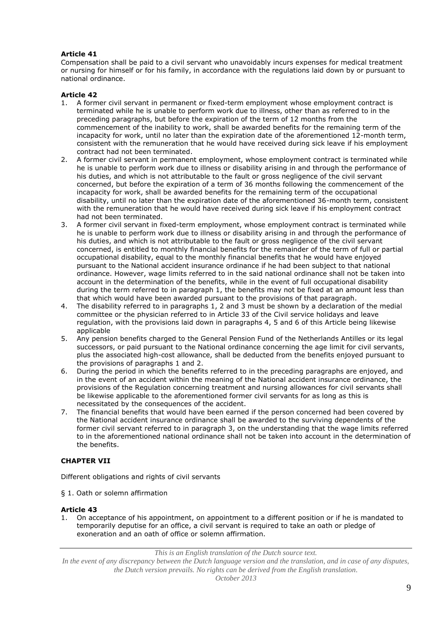Compensation shall be paid to a civil servant who unavoidably incurs expenses for medical treatment or nursing for himself or for his family, in accordance with the regulations laid down by or pursuant to national ordinance.

## **Article 42**

- 1. A former civil servant in permanent or fixed-term employment whose employment contract is terminated while he is unable to perform work due to illness, other than as referred to in the preceding paragraphs, but before the expiration of the term of 12 months from the commencement of the inability to work, shall be awarded benefits for the remaining term of the incapacity for work, until no later than the expiration date of the aforementioned 12-month term, consistent with the remuneration that he would have received during sick leave if his employment contract had not been terminated.
- 2. A former civil servant in permanent employment, whose employment contract is terminated while he is unable to perform work due to illness or disability arising in and through the performance of his duties, and which is not attributable to the fault or gross negligence of the civil servant concerned, but before the expiration of a term of 36 months following the commencement of the incapacity for work, shall be awarded benefits for the remaining term of the occupational disability, until no later than the expiration date of the aforementioned 36-month term, consistent with the remuneration that he would have received during sick leave if his employment contract had not been terminated.
- 3. A former civil servant in fixed-term employment, whose employment contract is terminated while he is unable to perform work due to illness or disability arising in and through the performance of his duties, and which is not attributable to the fault or gross negligence of the civil servant concerned, is entitled to monthly financial benefits for the remainder of the term of full or partial occupational disability, equal to the monthly financial benefits that he would have enjoyed pursuant to the National accident insurance ordinance if he had been subject to that national ordinance. However, wage limits referred to in the said national ordinance shall not be taken into account in the determination of the benefits, while in the event of full occupational disability during the term referred to in paragraph 1, the benefits may not be fixed at an amount less than that which would have been awarded pursuant to the provisions of that paragraph.
- 4. The disability referred to in paragraphs 1, 2 and 3 must be shown by a declaration of the medial committee or the physician referred to in Article 33 of the Civil service holidays and leave regulation, with the provisions laid down in paragraphs 4, 5 and 6 of this Article being likewise applicable
- 5. Any pension benefits charged to the General Pension Fund of the Netherlands Antilles or its legal successors, or paid pursuant to the National ordinance concerning the age limit for civil servants, plus the associated high-cost allowance, shall be deducted from the benefits enjoyed pursuant to the provisions of paragraphs 1 and 2.
- 6. During the period in which the benefits referred to in the preceding paragraphs are enjoyed, and in the event of an accident within the meaning of the National accident insurance ordinance, the provisions of the Regulation concerning treatment and nursing allowances for civil servants shall be likewise applicable to the aforementioned former civil servants for as long as this is necessitated by the consequences of the accident.
- 7. The financial benefits that would have been earned if the person concerned had been covered by the National accident insurance ordinance shall be awarded to the surviving dependents of the former civil servant referred to in paragraph 3, on the understanding that the wage limits referred to in the aforementioned national ordinance shall not be taken into account in the determination of the benefits.

# **CHAPTER VII**

Different obligations and rights of civil servants

§ 1. Oath or solemn affirmation

#### **Article 43**

1. On acceptance of his appointment, on appointment to a different position or if he is mandated to temporarily deputise for an office, a civil servant is required to take an oath or pledge of exoneration and an oath of office or solemn affirmation.

*This is an English translation of the Dutch source text.*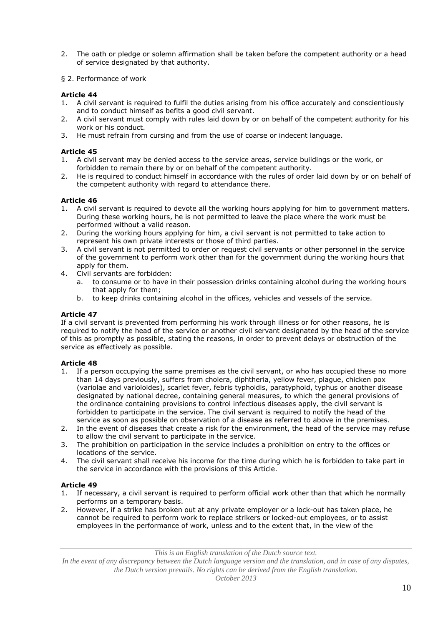- 2. The oath or pledge or solemn affirmation shall be taken before the competent authority or a head of service designated by that authority.
- § 2. Performance of work

- 1. A civil servant is required to fulfil the duties arising from his office accurately and conscientiously and to conduct himself as befits a good civil servant.
- 2. A civil servant must comply with rules laid down by or on behalf of the competent authority for his work or his conduct.
- 3. He must refrain from cursing and from the use of coarse or indecent language.

## **Article 45**

- 1. A civil servant may be denied access to the service areas, service buildings or the work, or forbidden to remain there by or on behalf of the competent authority.
- 2. He is required to conduct himself in accordance with the rules of order laid down by or on behalf of the competent authority with regard to attendance there.

### **Article 46**

- 1. A civil servant is required to devote all the working hours applying for him to government matters. During these working hours, he is not permitted to leave the place where the work must be performed without a valid reason.
- 2. During the working hours applying for him, a civil servant is not permitted to take action to represent his own private interests or those of third parties.
- 3. A civil servant is not permitted to order or request civil servants or other personnel in the service of the government to perform work other than for the government during the working hours that apply for them.
- 4. Civil servants are forbidden:
	- a. to consume or to have in their possession drinks containing alcohol during the working hours that apply for them;
	- b. to keep drinks containing alcohol in the offices, vehicles and vessels of the service.

### **Article 47**

If a civil servant is prevented from performing his work through illness or for other reasons, he is required to notify the head of the service or another civil servant designated by the head of the service of this as promptly as possible, stating the reasons, in order to prevent delays or obstruction of the service as effectively as possible.

#### **Article 48**

- 1. If a person occupying the same premises as the civil servant, or who has occupied these no more than 14 days previously, suffers from cholera, diphtheria, yellow fever, plague, chicken pox (variolae and varioloides), scarlet fever, febris typhoidis, paratyphoid, typhus or another disease designated by national decree, containing general measures, to which the general provisions of the ordinance containing provisions to control infectious diseases apply, the civil servant is forbidden to participate in the service. The civil servant is required to notify the head of the service as soon as possible on observation of a disease as referred to above in the premises.
- 2. In the event of diseases that create a risk for the environment, the head of the service may refuse to allow the civil servant to participate in the service.
- 3. The prohibition on participation in the service includes a prohibition on entry to the offices or locations of the service.
- 4. The civil servant shall receive his income for the time during which he is forbidden to take part in the service in accordance with the provisions of this Article.

## **Article 49**

- 1. If necessary, a civil servant is required to perform official work other than that which he normally performs on a temporary basis.
- 2. However, if a strike has broken out at any private employer or a lock-out has taken place, he cannot be required to perform work to replace strikers or locked-out employees, or to assist employees in the performance of work, unless and to the extent that, in the view of the

*This is an English translation of the Dutch source text.*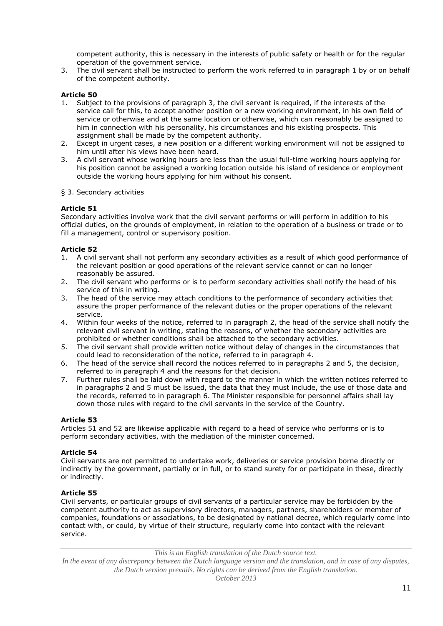competent authority, this is necessary in the interests of public safety or health or for the regular operation of the government service.

3. The civil servant shall be instructed to perform the work referred to in paragraph 1 by or on behalf of the competent authority.

## **Article 50**

- 1. Subject to the provisions of paragraph 3, the civil servant is required, if the interests of the service call for this, to accept another position or a new working environment, in his own field of service or otherwise and at the same location or otherwise, which can reasonably be assigned to him in connection with his personality, his circumstances and his existing prospects. This assignment shall be made by the competent authority.
- 2. Except in urgent cases, a new position or a different working environment will not be assigned to him until after his views have been heard.
- 3. A civil servant whose working hours are less than the usual full-time working hours applying for his position cannot be assigned a working location outside his island of residence or employment outside the working hours applying for him without his consent.

#### § 3. Secondary activities

### **Article 51**

Secondary activities involve work that the civil servant performs or will perform in addition to his official duties, on the grounds of employment, in relation to the operation of a business or trade or to fill a management, control or supervisory position.

### **Article 52**

- 1. A civil servant shall not perform any secondary activities as a result of which good performance of the relevant position or good operations of the relevant service cannot or can no longer reasonably be assured.
- 2. The civil servant who performs or is to perform secondary activities shall notify the head of his service of this in writing.
- 3. The head of the service may attach conditions to the performance of secondary activities that assure the proper performance of the relevant duties or the proper operations of the relevant service.
- 4. Within four weeks of the notice, referred to in paragraph 2, the head of the service shall notify the relevant civil servant in writing, stating the reasons, of whether the secondary activities are prohibited or whether conditions shall be attached to the secondary activities.
- 5. The civil servant shall provide written notice without delay of changes in the circumstances that could lead to reconsideration of the notice, referred to in paragraph 4.
- 6. The head of the service shall record the notices referred to in paragraphs 2 and 5, the decision, referred to in paragraph 4 and the reasons for that decision.
- 7. Further rules shall be laid down with regard to the manner in which the written notices referred to in paragraphs 2 and 5 must be issued, the data that they must include, the use of those data and the records, referred to in paragraph 6. The Minister responsible for personnel affairs shall lay down those rules with regard to the civil servants in the service of the Country.

#### **Article 53**

Articles 51 and 52 are likewise applicable with regard to a head of service who performs or is to perform secondary activities, with the mediation of the minister concerned.

#### **Article 54**

Civil servants are not permitted to undertake work, deliveries or service provision borne directly or indirectly by the government, partially or in full, or to stand surety for or participate in these, directly or indirectly.

#### **Article 55**

Civil servants, or particular groups of civil servants of a particular service may be forbidden by the competent authority to act as supervisory directors, managers, partners, shareholders or member of companies, foundations or associations, to be designated by national decree, which regularly come into contact with, or could, by virtue of their structure, regularly come into contact with the relevant service.

*This is an English translation of the Dutch source text.*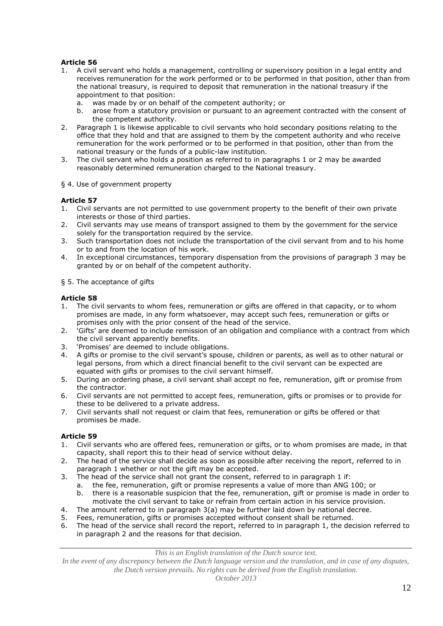- 1. A civil servant who holds a management, controlling or supervisory position in a legal entity and receives remuneration for the work performed or to be performed in that position, other than from the national treasury, is required to deposit that remuneration in the national treasury if the appointment to that position:
	- a. was made by or on behalf of the competent authority; or
	- b. arose from a statutory provision or pursuant to an agreement contracted with the consent of the competent authority.
- 2. Paragraph 1 is likewise applicable to civil servants who hold secondary positions relating to the office that they hold and that are assigned to them by the competent authority and who receive remuneration for the work performed or to be performed in that position, other than from the national treasury or the funds of a public-law institution.
- 3. The civil servant who holds a position as referred to in paragraphs 1 or 2 may be awarded reasonably determined remuneration charged to the National treasury.
- § 4. Use of government property

## **Article 57**

- 1. Civil servants are not permitted to use government property to the benefit of their own private interests or those of third parties.
- 2. Civil servants may use means of transport assigned to them by the government for the service solely for the transportation required by the service.
- 3. Such transportation does not include the transportation of the civil servant from and to his home or to and from the location of his work.
- 4. In exceptional circumstances, temporary dispensation from the provisions of paragraph 3 may be granted by or on behalf of the competent authority.
- § 5. The acceptance of gifts

## **Article 58**

- 1. The civil servants to whom fees, remuneration or gifts are offered in that capacity, or to whom promises are made, in any form whatsoever, may accept such fees, remuneration or gifts or promises only with the prior consent of the head of the service.
- 2. 'Gifts' are deemed to include remission of an obligation and compliance with a contract from which the civil servant apparently benefits.
- 3. 'Promises' are deemed to include obligations.
- 4. A gifts or promise to the civil servant's spouse, children or parents, as well as to other natural or legal persons, from which a direct financial benefit to the civil servant can be expected are equated with gifts or promises to the civil servant himself.
- 5. During an ordering phase, a civil servant shall accept no fee, remuneration, gift or promise from the contractor.
- 6. Civil servants are not permitted to accept fees, remuneration, gifts or promises or to provide for these to be delivered to a private address.
- 7. Civil servants shall not request or claim that fees, remuneration or gifts be offered or that promises be made.

## **Article 59**

- 1. Civil servants who are offered fees, remuneration or gifts, or to whom promises are made, in that capacity, shall report this to their head of service without delay.
- 2. The head of the service shall decide as soon as possible after receiving the report, referred to in paragraph 1 whether or not the gift may be accepted.
- 3. The head of the service shall not grant the consent, referred to in paragraph 1 if:
	- a. the fee, remuneration, gift or promise represents a value of more than ANG 100; or b. there is a reasonable suspicion that the fee, remuneration, gift or promise is made in
	- there is a reasonable suspicion that the fee, remuneration, gift or promise is made in order to motivate the civil servant to take or refrain from certain action in his service provision.
- 4. The amount referred to in paragraph 3(a) may be further laid down by national decree.
- 5. Fees, remuneration, gifts or promises accepted without consent shall be returned.
- 6. The head of the service shall record the report, referred to in paragraph 1, the decision referred to in paragraph 2 and the reasons for that decision.

*This is an English translation of the Dutch source text.*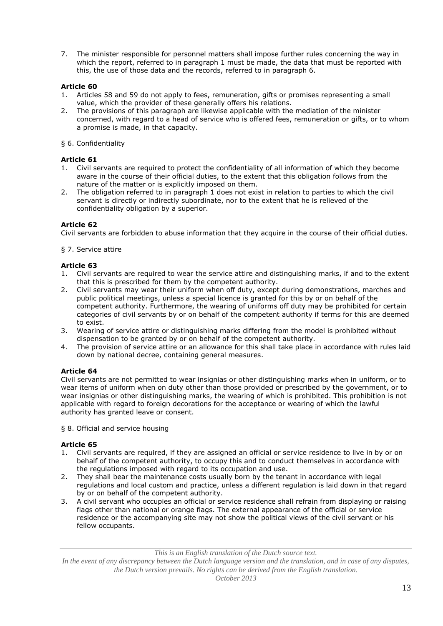7. The minister responsible for personnel matters shall impose further rules concerning the way in which the report, referred to in paragraph 1 must be made, the data that must be reported with this, the use of those data and the records, referred to in paragraph 6.

# **Article 60**

- 1. Articles 58 and 59 do not apply to fees, remuneration, gifts or promises representing a small value, which the provider of these generally offers his relations.
- 2. The provisions of this paragraph are likewise applicable with the mediation of the minister concerned, with regard to a head of service who is offered fees, remuneration or gifts, or to whom a promise is made, in that capacity.
- § 6. Confidentiality

## **Article 61**

- 1. Civil servants are required to protect the confidentiality of all information of which they become aware in the course of their official duties, to the extent that this obligation follows from the nature of the matter or is explicitly imposed on them.
- 2. The obligation referred to in paragraph 1 does not exist in relation to parties to which the civil servant is directly or indirectly subordinate, nor to the extent that he is relieved of the confidentiality obligation by a superior.

### **Article 62**

Civil servants are forbidden to abuse information that they acquire in the course of their official duties.

### § 7. Service attire

## **Article 63**

- 1. Civil servants are required to wear the service attire and distinguishing marks, if and to the extent that this is prescribed for them by the competent authority.
- 2. Civil servants may wear their uniform when off duty, except during demonstrations, marches and public political meetings, unless a special licence is granted for this by or on behalf of the competent authority. Furthermore, the wearing of uniforms off duty may be prohibited for certain categories of civil servants by or on behalf of the competent authority if terms for this are deemed to exist.
- 3. Wearing of service attire or distinguishing marks differing from the model is prohibited without dispensation to be granted by or on behalf of the competent authority.
- 4. The provision of service attire or an allowance for this shall take place in accordance with rules laid down by national decree, containing general measures.

## **Article 64**

Civil servants are not permitted to wear insignias or other distinguishing marks when in uniform, or to wear items of uniform when on duty other than those provided or prescribed by the government, or to wear insignias or other distinguishing marks, the wearing of which is prohibited. This prohibition is not applicable with regard to foreign decorations for the acceptance or wearing of which the lawful authority has granted leave or consent.

§ 8. Official and service housing

## **Article 65**

- 1. Civil servants are required, if they are assigned an official or service residence to live in by or on behalf of the competent authority, to occupy this and to conduct themselves in accordance with the regulations imposed with regard to its occupation and use.
- 2. They shall bear the maintenance costs usually born by the tenant in accordance with legal regulations and local custom and practice, unless a different regulation is laid down in that regard by or on behalf of the competent authority.
- 3. A civil servant who occupies an official or service residence shall refrain from displaying or raising flags other than national or orange flags. The external appearance of the official or service residence or the accompanying site may not show the political views of the civil servant or his fellow occupants.

*This is an English translation of the Dutch source text.*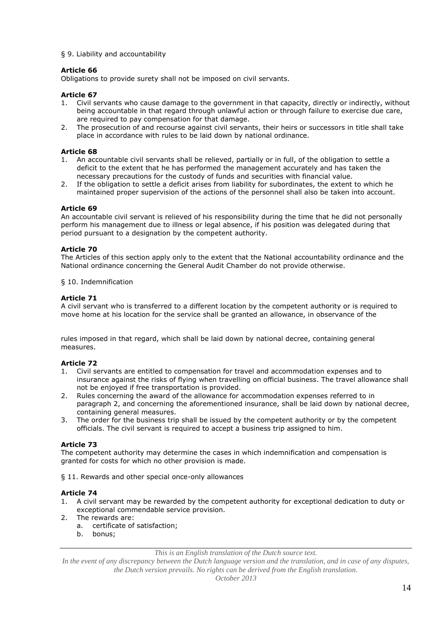### § 9. Liability and accountability

## **Article 66**

Obligations to provide surety shall not be imposed on civil servants.

### **Article 67**

- 1. Civil servants who cause damage to the government in that capacity, directly or indirectly, without being accountable in that regard through unlawful action or through failure to exercise due care, are required to pay compensation for that damage.
- 2. The prosecution of and recourse against civil servants, their heirs or successors in title shall take place in accordance with rules to be laid down by national ordinance.

### **Article 68**

- 1. An accountable civil servants shall be relieved, partially or in full, of the obligation to settle a deficit to the extent that he has performed the management accurately and has taken the necessary precautions for the custody of funds and securities with financial value.
- 2. If the obligation to settle a deficit arises from liability for subordinates, the extent to which he maintained proper supervision of the actions of the personnel shall also be taken into account.

### **Article 69**

An accountable civil servant is relieved of his responsibility during the time that he did not personally perform his management due to illness or legal absence, if his position was delegated during that period pursuant to a designation by the competent authority.

### **Article 70**

The Articles of this section apply only to the extent that the National accountability ordinance and the National ordinance concerning the General Audit Chamber do not provide otherwise.

#### § 10. Indemnification

### **Article 71**

A civil servant who is transferred to a different location by the competent authority or is required to move home at his location for the service shall be granted an allowance, in observance of the

rules imposed in that regard, which shall be laid down by national decree, containing general measures.

## **Article 72**

- 1. Civil servants are entitled to compensation for travel and accommodation expenses and to insurance against the risks of flying when travelling on official business. The travel allowance shall not be enjoyed if free transportation is provided.
- 2. Rules concerning the award of the allowance for accommodation expenses referred to in paragraph 2, and concerning the aforementioned insurance, shall be laid down by national decree, containing general measures.
- 3. The order for the business trip shall be issued by the competent authority or by the competent officials. The civil servant is required to accept a business trip assigned to him.

## **Article 73**

The competent authority may determine the cases in which indemnification and compensation is granted for costs for which no other provision is made.

§ 11. Rewards and other special once-only allowances

#### **Article 74**

- 1. A civil servant may be rewarded by the competent authority for exceptional dedication to duty or exceptional commendable service provision.
- 2. The rewards are:
	- a. certificate of satisfaction;
	- bonus:

*This is an English translation of the Dutch source text.*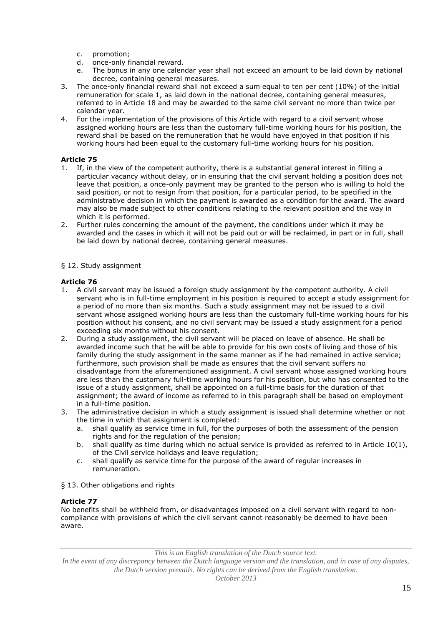- 
- c. promotion;<br>d. once-only f once-only financial reward.
- e. The bonus in any one calendar year shall not exceed an amount to be laid down by national decree, containing general measures.
- 3. The once-only financial reward shall not exceed a sum equal to ten per cent (10%) of the initial remuneration for scale 1, as laid down in the national decree, containing general measures, referred to in Article 18 and may be awarded to the same civil servant no more than twice per calendar year.
- 4. For the implementation of the provisions of this Article with regard to a civil servant whose assigned working hours are less than the customary full-time working hours for his position, the reward shall be based on the remuneration that he would have enjoyed in that position if his working hours had been equal to the customary full-time working hours for his position.

- 1. If, in the view of the competent authority, there is a substantial general interest in filling a particular vacancy without delay, or in ensuring that the civil servant holding a position does not leave that position, a once-only payment may be granted to the person who is willing to hold the said position, or not to resign from that position, for a particular period, to be specified in the administrative decision in which the payment is awarded as a condition for the award. The award may also be made subject to other conditions relating to the relevant position and the way in which it is performed.
- 2. Further rules concerning the amount of the payment, the conditions under which it may be awarded and the cases in which it will not be paid out or will be reclaimed, in part or in full, shall be laid down by national decree, containing general measures.

## § 12. Study assignment

# **Article 76**

- 1. A civil servant may be issued a foreign study assignment by the competent authority. A civil servant who is in full-time employment in his position is required to accept a study assignment for a period of no more than six months. Such a study assignment may not be issued to a civil servant whose assigned working hours are less than the customary full-time working hours for his position without his consent, and no civil servant may be issued a study assignment for a period exceeding six months without his consent.
- 2. During a study assignment, the civil servant will be placed on leave of absence. He shall be awarded income such that he will be able to provide for his own costs of living and those of his family during the study assignment in the same manner as if he had remained in active service; furthermore, such provision shall be made as ensures that the civil servant suffers no disadvantage from the aforementioned assignment. A civil servant whose assigned working hours are less than the customary full-time working hours for his position, but who has consented to the issue of a study assignment, shall be appointed on a full-time basis for the duration of that assignment; the award of income as referred to in this paragraph shall be based on employment in a full-time position.
- 3. The administrative decision in which a study assignment is issued shall determine whether or not the time in which that assignment is completed:
	- a. shall qualify as service time in full, for the purposes of both the assessment of the pension rights and for the regulation of the pension;
	- b. shall qualify as time during which no actual service is provided as referred to in Article 10(1), of the Civil service holidays and leave regulation;
	- c. shall qualify as service time for the purpose of the award of regular increases in remuneration.
- § 13. Other obligations and rights

## **Article 77**

No benefits shall be withheld from, or disadvantages imposed on a civil servant with regard to noncompliance with provisions of which the civil servant cannot reasonably be deemed to have been aware.

*This is an English translation of the Dutch source text.*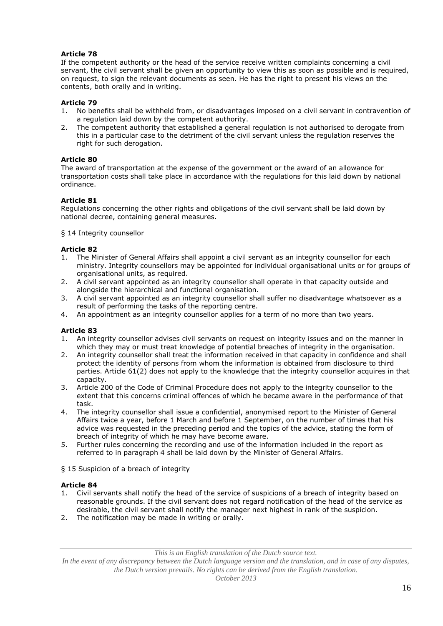If the competent authority or the head of the service receive written complaints concerning a civil servant, the civil servant shall be given an opportunity to view this as soon as possible and is required, on request, to sign the relevant documents as seen. He has the right to present his views on the contents, both orally and in writing.

# **Article 79**

- 1. No benefits shall be withheld from, or disadvantages imposed on a civil servant in contravention of a regulation laid down by the competent authority.
- 2. The competent authority that established a general regulation is not authorised to derogate from this in a particular case to the detriment of the civil servant unless the regulation reserves the right for such derogation.

## **Article 80**

The award of transportation at the expense of the government or the award of an allowance for transportation costs shall take place in accordance with the regulations for this laid down by national ordinance.

# **Article 81**

Regulations concerning the other rights and obligations of the civil servant shall be laid down by national decree, containing general measures.

§ 14 Integrity counsellor

## **Article 82**

- 1. The Minister of General Affairs shall appoint a civil servant as an integrity counsellor for each ministry. Integrity counsellors may be appointed for individual organisational units or for groups of organisational units, as required.
- 2. A civil servant appointed as an integrity counsellor shall operate in that capacity outside and alongside the hierarchical and functional organisation.
- 3. A civil servant appointed as an integrity counsellor shall suffer no disadvantage whatsoever as a result of performing the tasks of the reporting centre.
- 4. An appointment as an integrity counsellor applies for a term of no more than two years.

## **Article 83**

- 1. An integrity counsellor advises civil servants on request on integrity issues and on the manner in which they may or must treat knowledge of potential breaches of integrity in the organisation.
- 2. An integrity counsellor shall treat the information received in that capacity in confidence and shall protect the identity of persons from whom the information is obtained from disclosure to third parties. Article 61(2) does not apply to the knowledge that the integrity counsellor acquires in that capacity.
- 3. Article 200 of the Code of Criminal Procedure does not apply to the integrity counsellor to the extent that this concerns criminal offences of which he became aware in the performance of that task.
- 4. The integrity counsellor shall issue a confidential, anonymised report to the Minister of General Affairs twice a year, before 1 March and before 1 September, on the number of times that his advice was requested in the preceding period and the topics of the advice, stating the form of breach of integrity of which he may have become aware.
- 5. Further rules concerning the recording and use of the information included in the report as referred to in paragraph 4 shall be laid down by the Minister of General Affairs.
- § 15 Suspicion of a breach of integrity

## **Article 84**

- 1. Civil servants shall notify the head of the service of suspicions of a breach of integrity based on reasonable grounds. If the civil servant does not regard notification of the head of the service as desirable, the civil servant shall notify the manager next highest in rank of the suspicion.
- 2. The notification may be made in writing or orally.

*This is an English translation of the Dutch source text.*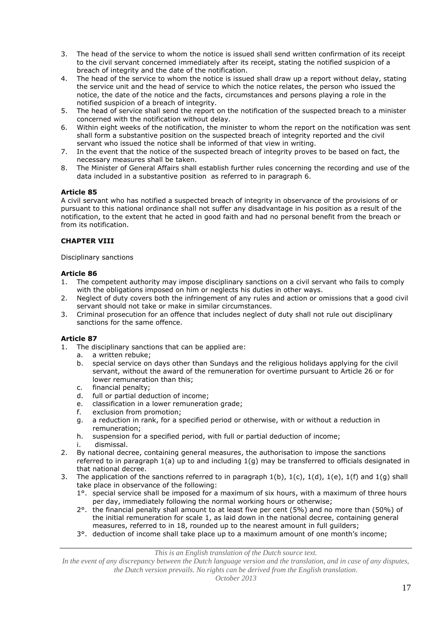- 3. The head of the service to whom the notice is issued shall send written confirmation of its receipt to the civil servant concerned immediately after its receipt, stating the notified suspicion of a breach of integrity and the date of the notification.
- 4. The head of the service to whom the notice is issued shall draw up a report without delay, stating the service unit and the head of service to which the notice relates, the person who issued the notice, the date of the notice and the facts, circumstances and persons playing a role in the notified suspicion of a breach of integrity.
- 5. The head of service shall send the report on the notification of the suspected breach to a minister concerned with the notification without delay.
- 6. Within eight weeks of the notification, the minister to whom the report on the notification was sent shall form a substantive position on the suspected breach of integrity reported and the civil servant who issued the notice shall be informed of that view in writing.
- 7. In the event that the notice of the suspected breach of integrity proves to be based on fact, the necessary measures shall be taken.
- 8. The Minister of General Affairs shall establish further rules concerning the recording and use of the data included in a substantive position as referred to in paragraph 6.

A civil servant who has notified a suspected breach of integrity in observance of the provisions of or pursuant to this national ordinance shall not suffer any disadvantage in his position as a result of the notification, to the extent that he acted in good faith and had no personal benefit from the breach or from its notification.

# **CHAPTER VIII**

### Disciplinary sanctions

## **Article 86**

- 1. The competent authority may impose disciplinary sanctions on a civil servant who fails to comply with the obligations imposed on him or neglects his duties in other ways.
- 2. Neglect of duty covers both the infringement of any rules and action or omissions that a good civil servant should not take or make in similar circumstances.
- 3. Criminal prosecution for an offence that includes neglect of duty shall not rule out disciplinary sanctions for the same offence.

## **Article 87**

- 1. The disciplinary sanctions that can be applied are:
	- a. a written rebuke;
	- b. special service on days other than Sundays and the religious holidays applying for the civil servant, without the award of the remuneration for overtime pursuant to Article 26 or for lower remuneration than this;
	- c. financial penalty;<br>d. full or partial ded
	- full or partial deduction of income;
	- e. classification in a lower remuneration grade;
	- f. exclusion from promotion;
	- g. a reduction in rank, for a specified period or otherwise, with or without a reduction in remuneration;
	- h. suspension for a specified period, with full or partial deduction of income; i. dismissal.
- 2. By national decree, containing general measures, the authorisation to impose the sanctions referred to in paragraph 1(a) up to and including 1(g) may be transferred to officials designated in that national decree.
- 3. The application of the sanctions referred to in paragraph 1(b), 1(c), 1(d), 1(e), 1(f) and 1(g) shall take place in observance of the following:
	- 1°. special service shall be imposed for a maximum of six hours, with a maximum of three hours per day, immediately following the normal working hours or otherwise;
	- 2°. the financial penalty shall amount to at least five per cent (5%) and no more than (50%) of the initial remuneration for scale 1, as laid down in the national decree, containing general measures, referred to in 18, rounded up to the nearest amount in full guilders;
	- 3°. deduction of income shall take place up to a maximum amount of one month's income;

*This is an English translation of the Dutch source text.*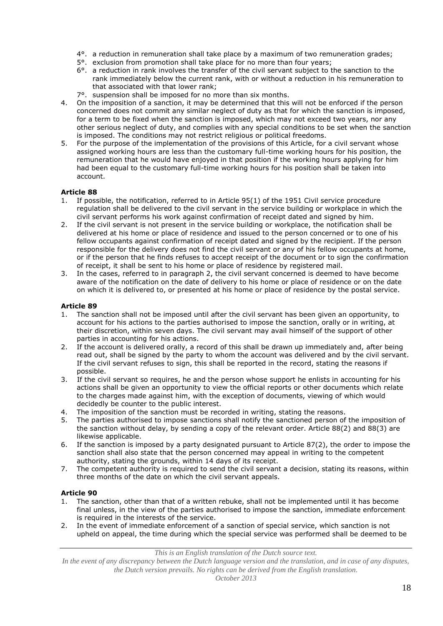- 4°. a reduction in remuneration shall take place by a maximum of two remuneration grades;
- 5°. exclusion from promotion shall take place for no more than four years;
- 6°. a reduction in rank involves the transfer of the civil servant subject to the sanction to the rank immediately below the current rank, with or without a reduction in his remuneration to that associated with that lower rank;
- 7°. suspension shall be imposed for no more than six months.
- 4. On the imposition of a sanction, it may be determined that this will not be enforced if the person concerned does not commit any similar neglect of duty as that for which the sanction is imposed, for a term to be fixed when the sanction is imposed, which may not exceed two years, nor any other serious neglect of duty, and complies with any special conditions to be set when the sanction is imposed. The conditions may not restrict religious or political freedoms.
- 5. For the purpose of the implementation of the provisions of this Article, for a civil servant whose assigned working hours are less than the customary full-time working hours for his position, the remuneration that he would have enjoyed in that position if the working hours applying for him had been equal to the customary full-time working hours for his position shall be taken into account.

- 1. If possible, the notification, referred to in Article 95(1) of the 1951 Civil service procedure regulation shall be delivered to the civil servant in the service building or workplace in which the civil servant performs his work against confirmation of receipt dated and signed by him.
- 2. If the civil servant is not present in the service building or workplace, the notification shall be delivered at his home or place of residence and issued to the person concerned or to one of his fellow occupants against confirmation of receipt dated and signed by the recipient. If the person responsible for the delivery does not find the civil servant or any of his fellow occupants at home, or if the person that he finds refuses to accept receipt of the document or to sign the confirmation of receipt, it shall be sent to his home or place of residence by registered mail.
- In the cases, referred to in paragraph 2, the civil servant concerned is deemed to have become aware of the notification on the date of delivery to his home or place of residence or on the date on which it is delivered to, or presented at his home or place of residence by the postal service.

# **Article 89**

- 1. The sanction shall not be imposed until after the civil servant has been given an opportunity, to account for his actions to the parties authorised to impose the sanction, orally or in writing, at their discretion, within seven days. The civil servant may avail himself of the support of other parties in accounting for his actions.
- 2. If the account is delivered orally, a record of this shall be drawn up immediately and, after being read out, shall be signed by the party to whom the account was delivered and by the civil servant. If the civil servant refuses to sign, this shall be reported in the record, stating the reasons if possible.
- 3. If the civil servant so requires, he and the person whose support he enlists in accounting for his actions shall be given an opportunity to view the official reports or other documents which relate to the charges made against him, with the exception of documents, viewing of which would decidedly be counter to the public interest.
- 4. The imposition of the sanction must be recorded in writing, stating the reasons.
- 5. The parties authorised to impose sanctions shall notify the sanctioned person of the imposition of the sanction without delay, by sending a copy of the relevant order. Article 88(2) and 88(3) are likewise applicable.
- 6. If the sanction is imposed by a party designated pursuant to Article 87(2), the order to impose the sanction shall also state that the person concerned may appeal in writing to the competent authority, stating the grounds, within 14 days of its receipt.
- 7. The competent authority is required to send the civil servant a decision, stating its reasons, within three months of the date on which the civil servant appeals.

## **Article 90**

- 1. The sanction, other than that of a written rebuke, shall not be implemented until it has become final unless, in the view of the parties authorised to impose the sanction, immediate enforcement is required in the interests of the service.
- 2. In the event of immediate enforcement of a sanction of special service, which sanction is not upheld on appeal, the time during which the special service was performed shall be deemed to be

*This is an English translation of the Dutch source text.*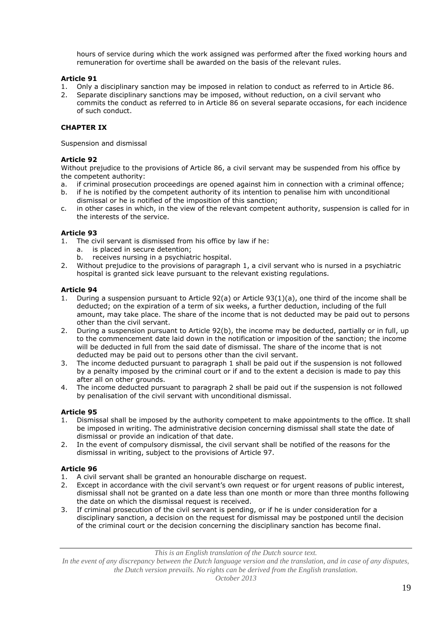hours of service during which the work assigned was performed after the fixed working hours and remuneration for overtime shall be awarded on the basis of the relevant rules.

### **Article 91**

- 1. Only a disciplinary sanction may be imposed in relation to conduct as referred to in Article 86.<br>2. Separate disciplinary sanctions may be imposed, without reduction, on a civil servant who
- 2. Separate disciplinary sanctions may be imposed, without reduction, on a civil servant who commits the conduct as referred to in Article 86 on several separate occasions, for each incidence of such conduct.

# **CHAPTER IX**

Suspension and dismissal

### **Article 92**

Without prejudice to the provisions of Article 86, a civil servant may be suspended from his office by the competent authority:

- a. if criminal prosecution proceedings are opened against him in connection with a criminal offence;
- b. if he is notified by the competent authority of its intention to penalise him with unconditional dismissal or he is notified of the imposition of this sanction;
- c. in other cases in which, in the view of the relevant competent authority, suspension is called for in the interests of the service.

## **Article 93**

- 1. The civil servant is dismissed from his office by law if he:
	- a. is placed in secure detention;
	- b. receives nursing in a psychiatric hospital.
- 2. Without prejudice to the provisions of paragraph 1, a civil servant who is nursed in a psychiatric hospital is granted sick leave pursuant to the relevant existing regulations.

### **Article 94**

- 1. During a suspension pursuant to Article 92(a) or Article 93(1)(a), one third of the income shall be deducted; on the expiration of a term of six weeks, a further deduction, including of the full amount, may take place. The share of the income that is not deducted may be paid out to persons other than the civil servant.
- 2. During a suspension pursuant to Article 92(b), the income may be deducted, partially or in full, up to the commencement date laid down in the notification or imposition of the sanction; the income will be deducted in full from the said date of dismissal. The share of the income that is not deducted may be paid out to persons other than the civil servant.
- 3. The income deducted pursuant to paragraph 1 shall be paid out if the suspension is not followed by a penalty imposed by the criminal court or if and to the extent a decision is made to pay this after all on other grounds.
- 4. The income deducted pursuant to paragraph 2 shall be paid out if the suspension is not followed by penalisation of the civil servant with unconditional dismissal.

## **Article 95**

- 1. Dismissal shall be imposed by the authority competent to make appointments to the office. It shall be imposed in writing. The administrative decision concerning dismissal shall state the date of dismissal or provide an indication of that date.
- 2. In the event of compulsory dismissal, the civil servant shall be notified of the reasons for the dismissal in writing, subject to the provisions of Article 97.

## **Article 96**

- 1. A civil servant shall be granted an honourable discharge on request.
- 2. Except in accordance with the civil servant's own request or for urgent reasons of public interest, dismissal shall not be granted on a date less than one month or more than three months following the date on which the dismissal request is received.
- 3. If criminal prosecution of the civil servant is pending, or if he is under consideration for a disciplinary sanction, a decision on the request for dismissal may be postponed until the decision of the criminal court or the decision concerning the disciplinary sanction has become final.

*This is an English translation of the Dutch source text.*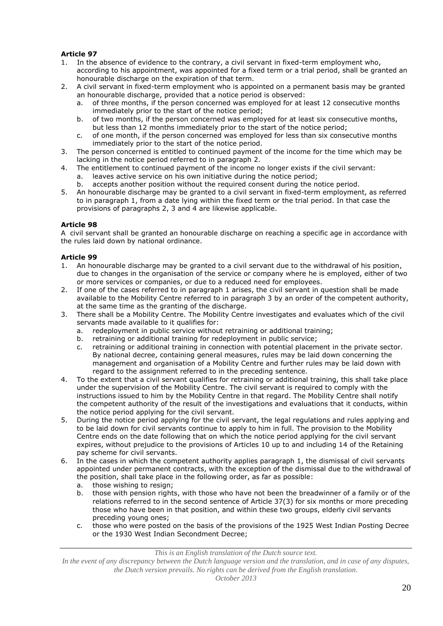- 1. In the absence of evidence to the contrary, a civil servant in fixed-term employment who, according to his appointment, was appointed for a fixed term or a trial period, shall be granted an honourable discharge on the expiration of that term.
- 2. A civil servant in fixed-term employment who is appointed on a permanent basis may be granted an honourable discharge, provided that a notice period is observed:
	- a. of three months, if the person concerned was employed for at least 12 consecutive months immediately prior to the start of the notice period;
	- b. of two months, if the person concerned was employed for at least six consecutive months, but less than 12 months immediately prior to the start of the notice period;
	- c. of one month, if the person concerned was employed for less than six consecutive months immediately prior to the start of the notice period.
- 3. The person concerned is entitled to continued payment of the income for the time which may be lacking in the notice period referred to in paragraph 2.
- 4. The entitlement to continued payment of the income no longer exists if the civil servant: a. leaves active service on his own initiative during the notice period;
	- b. accepts another position without the required consent during the notice period.
- 5. An honourable discharge may be granted to a civil servant in fixed-term employment, as referred to in paragraph 1, from a date lying within the fixed term or the trial period. In that case the provisions of paragraphs 2, 3 and 4 are likewise applicable.

# **Article 98**

A civil servant shall be granted an honourable discharge on reaching a specific age in accordance with the rules laid down by national ordinance.

# **Article 99**

- 1. An honourable discharge may be granted to a civil servant due to the withdrawal of his position, due to changes in the organisation of the service or company where he is employed, either of two or more services or companies, or due to a reduced need for employees.
- 2. If one of the cases referred to in paragraph 1 arises, the civil servant in question shall be made available to the Mobility Centre referred to in paragraph 3 by an order of the competent authority, at the same time as the granting of the discharge.
- 3. There shall be a Mobility Centre. The Mobility Centre investigates and evaluates which of the civil servants made available to it qualifies for:
	- a. redeployment in public service without retraining or additional training;<br>b. retraining or additional training for redeployment in public service;
	- retraining or additional training for redeployment in public service;
	- c. retraining or additional training in connection with potential placement in the private sector. By national decree, containing general measures, rules may be laid down concerning the management and organisation of a Mobility Centre and further rules may be laid down with regard to the assignment referred to in the preceding sentence.
- 4. To the extent that a civil servant qualifies for retraining or additional training, this shall take place under the supervision of the Mobility Centre. The civil servant is required to comply with the instructions issued to him by the Mobility Centre in that regard. The Mobility Centre shall notify the competent authority of the result of the investigations and evaluations that it conducts, within the notice period applying for the civil servant.
- 5. During the notice period applying for the civil servant, the legal regulations and rules applying and to be laid down for civil servants continue to apply to him in full. The provision to the Mobility Centre ends on the date following that on which the notice period applying for the civil servant expires, without prejudice to the provisions of Articles 10 up to and including 14 of the Retaining pay scheme for civil servants.
- 6. In the cases in which the competent authority applies paragraph 1, the dismissal of civil servants appointed under permanent contracts, with the exception of the dismissal due to the withdrawal of the position, shall take place in the following order, as far as possible:
	- a. those wishing to resign;<br>b. those with pension right
	- those with pension rights, with those who have not been the breadwinner of a family or of the relations referred to in the second sentence of Article 37(3) for six months or more preceding those who have been in that position, and within these two groups, elderly civil servants preceding young ones;
	- c. those who were posted on the basis of the provisions of the 1925 West Indian Posting Decree or the 1930 West Indian Secondment Decree;

*This is an English translation of the Dutch source text.*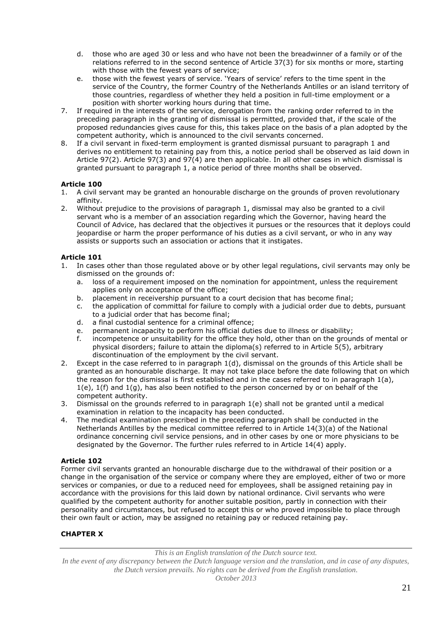- d. those who are aged 30 or less and who have not been the breadwinner of a family or of the relations referred to in the second sentence of Article 37(3) for six months or more, starting with those with the fewest years of service;
- e. those with the fewest years of service. 'Years of service' refers to the time spent in the service of the Country, the former Country of the Netherlands Antilles or an island territory of those countries, regardless of whether they held a position in full-time employment or a position with shorter working hours during that time.
- 7. If required in the interests of the service, derogation from the ranking order referred to in the preceding paragraph in the granting of dismissal is permitted, provided that, if the scale of the proposed redundancies gives cause for this, this takes place on the basis of a plan adopted by the competent authority, which is announced to the civil servants concerned.
- 8. If a civil servant in fixed-term employment is granted dismissal pursuant to paragraph 1 and derives no entitlement to retaining pay from this, a notice period shall be observed as laid down in Article 97(2). Article 97(3) and 97(4) are then applicable. In all other cases in which dismissal is granted pursuant to paragraph 1, a notice period of three months shall be observed.

- 1. A civil servant may be granted an honourable discharge on the grounds of proven revolutionary affinity.
- 2. Without prejudice to the provisions of paragraph 1, dismissal may also be granted to a civil servant who is a member of an association regarding which the Governor, having heard the Council of Advice, has declared that the objectives it pursues or the resources that it deploys could jeopardise or harm the proper performance of his duties as a civil servant, or who in any way assists or supports such an association or actions that it instigates.

# **Article 101**

- 1. In cases other than those regulated above or by other legal regulations, civil servants may only be dismissed on the grounds of:
	- a. loss of a requirement imposed on the nomination for appointment, unless the requirement applies only on acceptance of the office;
	- b. placement in receivership pursuant to a court decision that has become final;
	- c. the application of committal for failure to comply with a judicial order due to debts, pursuant to a judicial order that has become final;
	- d. a final custodial sentence for a criminal offence;
	- e. permanent incapacity to perform his official duties due to illness or disability;<br>f. incompetence or unsuitability for the office they hold, other than on the grour
	- incompetence or unsuitability for the office they hold, other than on the grounds of mental or physical disorders; failure to attain the diploma(s) referred to in Article 5(5), arbitrary discontinuation of the employment by the civil servant.
- 2. Except in the case referred to in paragraph 1(d), dismissal on the grounds of this Article shall be granted as an honourable discharge. It may not take place before the date following that on which the reason for the dismissal is first established and in the cases referred to in paragraph 1(a),  $1(e)$ ,  $1(f)$  and  $1(g)$ , has also been notified to the person concerned by or on behalf of the competent authority.
- 3. Dismissal on the grounds referred to in paragraph 1(e) shall not be granted until a medical examination in relation to the incapacity has been conducted.
- 4. The medical examination prescribed in the preceding paragraph shall be conducted in the Netherlands Antilles by the medical committee referred to in Article 14(3)(a) of the National ordinance concerning civil service pensions, and in other cases by one or more physicians to be designated by the Governor. The further rules referred to in Article 14(4) apply.

## **Article 102**

Former civil servants granted an honourable discharge due to the withdrawal of their position or a change in the organisation of the service or company where they are employed, either of two or more services or companies, or due to a reduced need for employees, shall be assigned retaining pay in accordance with the provisions for this laid down by national ordinance. Civil servants who were qualified by the competent authority for another suitable position, partly in connection with their personality and circumstances, but refused to accept this or who proved impossible to place through their own fault or action, may be assigned no retaining pay or reduced retaining pay.

# **CHAPTER X**

*This is an English translation of the Dutch source text.*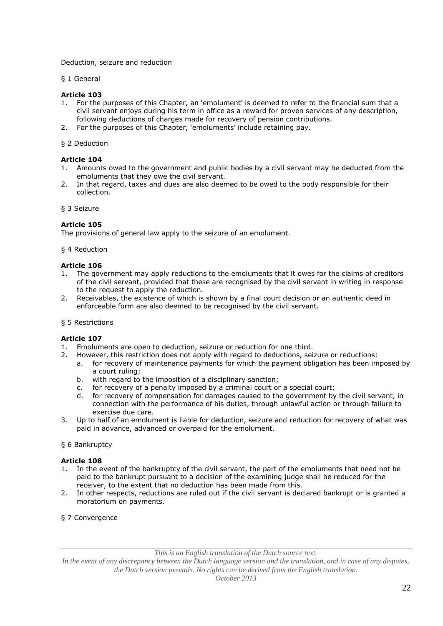Deduction, seizure and reduction

§ 1 General

## **Article 103**

- 1. For the purposes of this Chapter, an 'emolument' is deemed to refer to the financial sum that a civil servant enjoys during his term in office as a reward for proven services of any description, following deductions of charges made for recovery of pension contributions.
- 2. For the purposes of this Chapter, 'emoluments' include retaining pay.
- § 2 Deduction

# **Article 104**

- 1. Amounts owed to the government and public bodies by a civil servant may be deducted from the emoluments that they owe the civil servant.
- 2. In that regard, taxes and dues are also deemed to be owed to the body responsible for their collection.
- § 3 Seizure

### **Article 105**

The provisions of general law apply to the seizure of an emolument.

§ 4 Reduction

### **Article 106**

- 1. The government may apply reductions to the emoluments that it owes for the claims of creditors of the civil servant, provided that these are recognised by the civil servant in writing in response to the request to apply the reduction.
- 2. Receivables, the existence of which is shown by a final court decision or an authentic deed in enforceable form are also deemed to be recognised by the civil servant.

#### § 5 Restrictions

# **Article 107**

- 1. Emoluments are open to deduction, seizure or reduction for one third.
- 2. However, this restriction does not apply with regard to deductions, seizure or reductions:
	- a. for recovery of maintenance payments for which the payment obligation has been imposed by a court ruling;
	- b. with regard to the imposition of a disciplinary sanction;
	- c. for recovery of a penalty imposed by a criminal court or a special court;
	- d. for recovery of compensation for damages caused to the government by the civil servant, in connection with the performance of his duties, through unlawful action or through failure to exercise due care.
- 3. Up to half of an emolument is liable for deduction, seizure and reduction for recovery of what was paid in advance, advanced or overpaid for the emolument.

### § 6 Bankruptcy

#### **Article 108**

- 1. In the event of the bankruptcy of the civil servant, the part of the emoluments that need not be paid to the bankrupt pursuant to a decision of the examining judge shall be reduced for the receiver, to the extent that no deduction has been made from this.
- 2. In other respects, reductions are ruled out if the civil servant is declared bankrupt or is granted a moratorium on payments.
- § 7 Convergence

*This is an English translation of the Dutch source text.*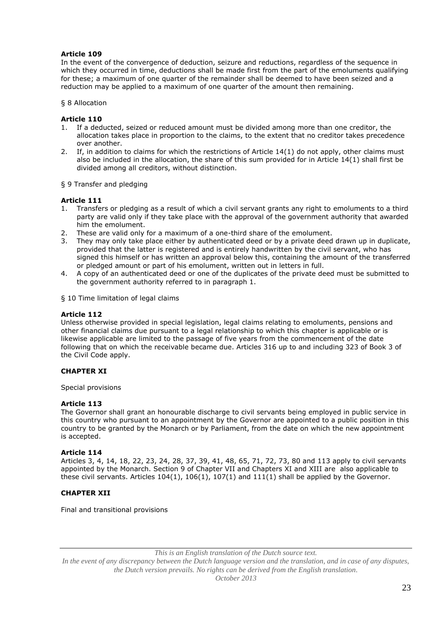In the event of the convergence of deduction, seizure and reductions, regardless of the sequence in which they occurred in time, deductions shall be made first from the part of the emoluments qualifying for these; a maximum of one quarter of the remainder shall be deemed to have been seized and a reduction may be applied to a maximum of one quarter of the amount then remaining.

#### § 8 Allocation

#### **Article 110**

- 1. If a deducted, seized or reduced amount must be divided among more than one creditor, the allocation takes place in proportion to the claims, to the extent that no creditor takes precedence over another.
- 2. If, in addition to claims for which the restrictions of Article 14(1) do not apply, other claims must also be included in the allocation, the share of this sum provided for in Article 14(1) shall first be divided among all creditors, without distinction.

§ 9 Transfer and pledging

#### **Article 111**

- 1. Transfers or pledging as a result of which a civil servant grants any right to emoluments to a third party are valid only if they take place with the approval of the government authority that awarded him the emolument.
- 2. These are valid only for a maximum of a one-third share of the emolument.
- 3. They may only take place either by authenticated deed or by a private deed drawn up in duplicate, provided that the latter is registered and is entirely handwritten by the civil servant, who has signed this himself or has written an approval below this, containing the amount of the transferred or pledged amount or part of his emolument, written out in letters in full.
- 4. A copy of an authenticated deed or one of the duplicates of the private deed must be submitted to the government authority referred to in paragraph 1.
- § 10 Time limitation of legal claims

#### **Article 112**

Unless otherwise provided in special legislation, legal claims relating to emoluments, pensions and other financial claims due pursuant to a legal relationship to which this chapter is applicable or is likewise applicable are limited to the passage of five years from the commencement of the date following that on which the receivable became due. Articles 316 up to and including 323 of Book 3 of the Civil Code apply.

#### **CHAPTER XI**

Special provisions

#### **Article 113**

The Governor shall grant an honourable discharge to civil servants being employed in public service in this country who pursuant to an appointment by the Governor are appointed to a public position in this country to be granted by the Monarch or by Parliament, from the date on which the new appointment is accepted.

#### **Article 114**

Articles 3, 4, 14, 18, 22, 23, 24, 28, 37, 39, 41, 48, 65, 71, 72, 73, 80 and 113 apply to civil servants appointed by the Monarch. Section 9 of Chapter VII and Chapters XI and XIII are also applicable to these civil servants. Articles 104(1), 106(1), 107(1) and 111(1) shall be applied by the Governor.

#### **CHAPTER XII**

Final and transitional provisions

*This is an English translation of the Dutch source text.*